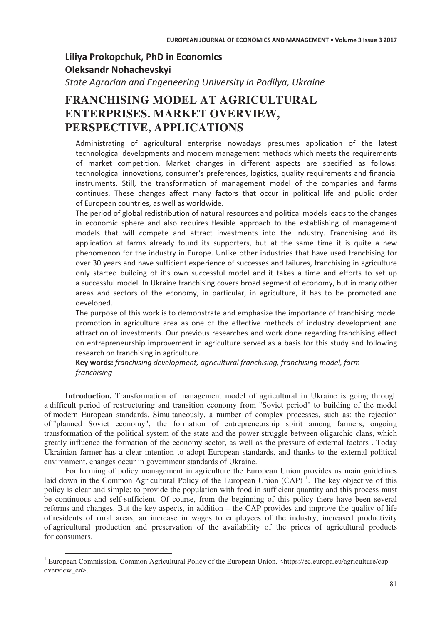# **Liliya Prokopchuk, PhD in Economics Oleksandr Nohachevskyi**

State Agrarian and Engeneering University in Podilya, Ukraine

# **FRANCHISING MODEL AT AGRICULTURAL ENTERPRISES. MARKET OVERVIEW, PERSPECTIVE, APPLICATIONS**

Administrating of agricultural enterprise nowadays presumes application of the latest technological developments and modern management methods which meets the requirements of market competition. Market changes in different aspects are specified as follows: technological innovations, consumer's preferences, logistics, quality requirements and financial instruments. Still, the transformation of management model of the companies and farms continues. These changes affect many factors that occur in political life and public order of European countries, as well as worldwide.

The period of global redistribution of natural resources and political models leads to the changes in economic sphere and also requires flexible approach to the establishing of management models that will compete and attract investments into the industry. Franchising and its application at farms already found its supporters, but at the same time it is quite a new phenomenon for the industry in Europe. Unlike other industries that have used franchising for over 30 years and have sufficient experience of successes and failures, franchising in agriculture only started building of it's own successful model and it takes a time and efforts to set up a successful model. In Ukraine franchising covers broad segment of economy, but in many other areas and sectors of the economy, in particular, in agriculture, it has to be promoted and developed.

The purpose of this work is to demonstrate and emphasize the importance of franchising model promotion in agriculture area as one of the effective methods of industry development and attraction of investments. Our previous researches and work done regarding franchising effect on entrepreneurship improvement in agriculture served as a basis for this study and following research on franchising in agriculture.

Key words: franchising development, agricultural franchising, franchising model, farm  $franchisina$ 

**Introduction.** Transformation of management model of agricultural in Ukraine is going through a difficult period of restructuring and transition economy from "Soviet period" to building of the model of modern European standards. Simultaneously, a number of complex processes, such as: the rejection of "planned Soviet economy", the formation of entrepreneurship spirit among farmers, ongoing transformation of the political system of the state and the power struggle between oligarchic clans, which greatly influence the formation of the economy sector, as well as the pressure of external factors . Today Ukrainian farmer has a clear intention to adopt European standards, and thanks to the external political environment, changes occur in government standards of Ukraine.

For forming of policy management in agriculture the European Union provides us main guidelines laid down in the Common Agricultural Policy of the European Union  $(CAP)^1$ . The key objective of this policy is clear and simple: to provide the population with food in sufficient quantity and this process must be continuous and self-sufficient. Of course, from the beginning of this policy there have been several reforms and changes. But the key aspects, in addition – the CAP provides and improve the quality of life of residents of rural areas, an increase in wages to employees of the industry, increased productivity of agricultural production and preservation of the availability of the prices of agricultural products for consumers.

 $\overline{a}$ <sup>1</sup> European Commission. Common Agricultural Policy of the European Union. <https://ec.europa.eu/agriculture/capoverview\_en>.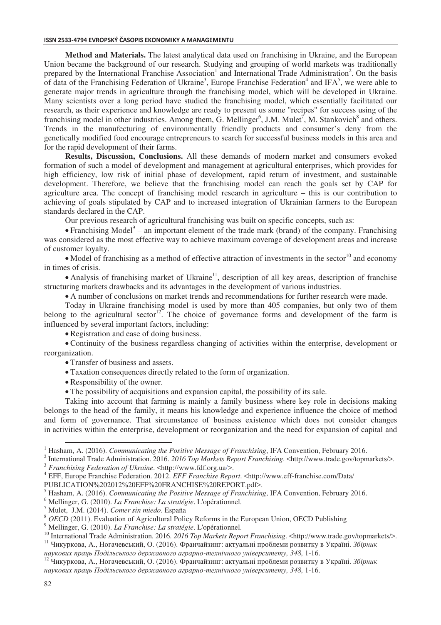**Method and Materials.** The latest analytical data used on franchising in Ukraine, and the European Union became the background of our research. Studying and grouping of world markets was traditionally prepared by the International Franchise Association<sup>1</sup> and International Trade Administration<sup>2</sup>. On the basis of data of the Franchising Federation of Ukraine<sup>3</sup>, Europe Franchise Federation<sup>4</sup> and IFA<sup>5</sup>, we were able to generate major trends in agriculture through the franchising model, which will be developed in Ukraine. Many scientists over a long period have studied the franchising model, which essentially facilitated our research, as their experience and knowledge are ready to present us some "recipes" for success using of the franchising model in other industries. Among them, G. Mellinger<sup>6</sup>, J.M. Mulet<sup>7</sup>, M. Stankovich<sup>8</sup> and others. Trends in the manufecturing of environmentally friendly products and consumer's deny from the genetically modified food encourage entrepreneurs to search for successful business models in this area and for the rapid development of their farms.

**Results, Discussion, Conclusions.** All these demands of modern market and consumers evoked formation of such a model of development and management at agricultural enterprises, which provides for high efficiency, low risk of initial phase of development, rapid return of investment, and sustainable development. Therefore, we believe that the franchising model can reach the goals set by CAP for agriculture area. The concept of franchising model research in agriculture – this is our contribution to achieving of goals stipulated by CAP and to increased integration of Ukrainian farmers to the European standards declared in the CAP.

Our previous research of agricultural franchising was built on specific concepts, such as:

• Franchising Model<sup>9</sup> – an important element of the trade mark (brand) of the company. Franchising was considered as the most effective way to achieve maximum coverage of development areas and increase of customer loyalty.

• Model of franchising as a method of effective attraction of investments in the sector<sup>10</sup> and economy in times of crisis.

• Analysis of franchising market of Ukraine<sup>11</sup>, description of all key areas, description of franchise structuring markets drawbacks and its advantages in the development of various industries.

• A number of conclusions on market trends and recommendations for further research were made.

Today in Ukraine franchising model is used by more than 405 companies, but only two of them belong to the agricultural sector<sup>12</sup>. The choice of governance forms and development of the farm is influenced by several important factors, including:

• Registration and ease of doing business.

• Continuity of the business regardless changing of activities within the enterprise, development or reorganization.

• Transfer of business and assets.

- Taxation consequences directly related to the form of organization.
- Responsibility of the owner.

• The possibility of acquisitions and expansion capital, the possibility of its sale.

Taking into account that farming is mainly a family business where key role in decisions making belongs to the head of the family, it means his knowledge and experience influence the choice of method and form of governance. That sircumstance of business existence which does not consider changes in activities within the enterprise, development or reorganization and the need for expansion of capital and

<sup>3</sup> *Franchising Federation of Ukraine*. <http://www.fdf.org.ua/>.

<sup>11</sup> Чикуркова, А., Ногачевський, О. (2016). Франчайзинг: актуальні проблеми розвитку в Україні. Збірник наукових праць Подільського державного аграрно-технічного університету, 348, 1-16.

 $\overline{a}$ 

<sup>&</sup>lt;sup>1</sup> Hasham, A. (2016). *Communicating the Positive Message of Franchising*, IFA Convention, February 2016.

<sup>2</sup> International Trade Administration. 2016. *2016 Top Markets Report Franchising*. <http://www.trade.gov/topmarkets/>.

<sup>4</sup> EFF, Europe Franchise Federation. 2012. *EFF Franchise Report*. <http://www.eff-franchise.com/Data/ PUBLICATION%202012%20EFF%20FRANCHISE%20REPORT.pdf>.

<sup>5</sup> Hasham, A. (2016). *Communicating the Positive Message of Franchising*, IFA Convention, February 2016.

<sup>6</sup> Mellinger, G. (2010). *La Franchise: La stratégie*. L'opérationnel.

<sup>7</sup> Mulet, J.M. (2014). *Comer sin miedo*. España

<sup>&</sup>lt;sup>8</sup> *OECD* (2011). Evaluation of Agricultural Policy Reforms in the European Union, OECD Publishing

<sup>9</sup> Mellinger, G. (2010). *La Franchise: La stratégie*. L'opérationnel.

<sup>10</sup> International Trade Administration. 2016. *2016 Top Markets Report Franchising*. <http://www.trade.gov/topmarkets/>.

 $^{12}$  Чикуркова, А., Ногачевський, О. (2016). Франчайзинг: актуальні проблеми розвитку в Україні. Збірник наукових праць Подільського державного аграрно-технічного університету, 348, 1-16.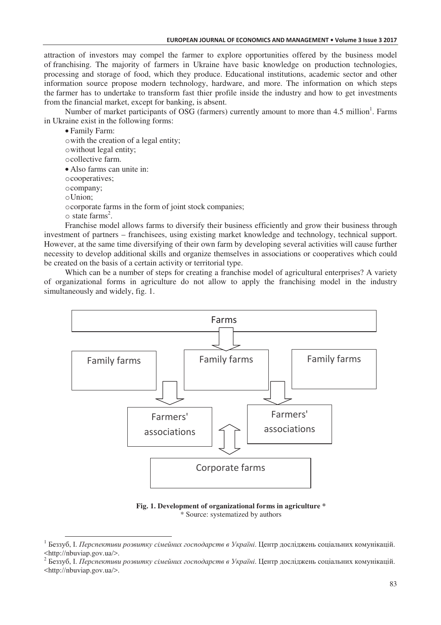attraction of investors may compel the farmer to explore opportunities offered by the business model of franchising. The majority of farmers in Ukraine have basic knowledge on production technologies, processing and storage of food, which they produce. Educational institutions, academic sector and other information source propose modern technology, hardware, and more. The information on which steps the farmer has to undertake to transform fast thier profile inside the industry and how to get investments from the financial market, except for banking, is absent.

Number of market participants of OSG (farmers) currently amount to more than 4.5 million<sup>1</sup>. Farms in Ukraine exist in the following forms:

• Family Farm: owith the creation of a legal entity; owithout legal entity; ocollective farm. • Also farms can unite in: ocooperatives; ocompany; oUnion; ocorporate farms in the form of joint stock companies;  $\circ$  state farms<sup>2</sup>.

Franchise model allows farms to diversify their business efficiently and grow their business through investment of partners – franchisees, using existing market knowledge and technology, technical support. However, at the same time diversifying of their own farm by developing several activities will cause further necessity to develop additional skills and organize themselves in associations or cooperatives which could be created on the basis of a certain activity or territorial type.

Which can be a number of steps for creating a franchise model of agricultural enterprises? A variety of organizational forms in agriculture do not allow to apply the franchising model in the industry simultaneously and widely, fig. 1.



**Fig. 1. Development of organizational forms in agriculture \***  \* Source: systematized by authors

<sup>2</sup> Беззуб, І. Перспективи розвитку сімейних господарств в Україні. Центр досліджень соціальних комунікацій. <http://nbuviap.gov.ua/>.

<sup>1&</sup>lt;br>Веззуб, І. *Перспективи розвитку сімейних господарств в Україні*. Центр досліджень соціальних комунікацій. <http://nbuviap.gov.ua/>.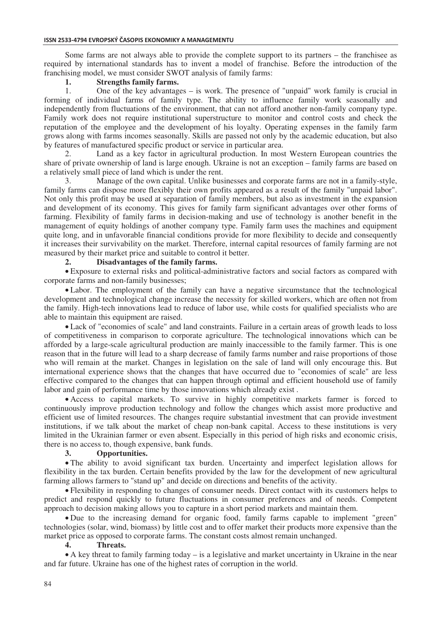Some farms are not always able to provide the complete support to its partners – the franchisee as required by international standards has to invent a model of franchise. Before the introduction of the franchising model, we must consider SWOT analysis of family farms:

#### **1. Strengths family farms.**

1. One of the key advantages – is work. The presence of "unpaid" work family is crucial in forming of individual farms of family type. The ability to influence family work seasonally and independently from fluctuations of the environment, that can not afford another non-family company type. Family work does not require institutional superstructure to monitor and control costs and check the reputation of the employee and the development of his loyalty. Operating expenses in the family farm grows along with farms incomes seasonally. Skills are passed not only by the academic education, but also by features of manufactured specific product or service in particular area.

2. Land as a key factor in agricultural production. In most Western European countries the share of private ownership of land is large enough. Ukraine is not an exception – family farms are based on a relatively small piece of land which is under the rent.

Manage of the own capital. Unlike businesses and corporate farms are not in a family-style, family farms can dispose more flexibly their own profits appeared as a result of the family "unpaid labor". Not only this profit may be used at separation of family members, but also as investment in the expansion and development of its economy. This gives for family farm significant advantages over other forms of farming. Flexibility of family farms in decision-making and use of technology is another benefit in the management of equity holdings of another company type. Family farm uses the machines and equipment quite long, and in unfavorable financial conditions provide for more flexibility to decide and consequently it increases their survivability on the market. Therefore, internal capital resources of family farming are not measured by their market price and suitable to control it better.

### **2. Disadvantages of the family farms.**

• Exposure to external risks and political-administrative factors and social factors as compared with corporate farms and non-family businesses;

• Labor. The employment of the family can have a negative sircumstance that the technological development and technological change increase the necessity for skilled workers, which are often not from the family. High-tech innovations lead to reduce of labor use, while costs for qualified specialists who are able to maintain this equipment are raised.

• Lack of "economies of scale" and land constraints. Failure in a certain areas of growth leads to loss of competitiveness in comparison to corporate agriculture. The technological innovations which can be afforded by a large-scale agricultural production are mainly inaccessible to the family farmer. This is one reason that in the future will lead to a sharp decrease of family farms number and raise proportions of those who will remain at the market. Changes in legislation on the sale of land will only encourage this. But international experience shows that the changes that have occurred due to "economies of scale" are less effective compared to the changes that can happen through optimal and efficient household use of family labor and gain of performance time by those innovations which already exist .

• Access to capital markets. To survive in highly competitive markets farmer is forced to continuously improve production technology and follow the changes which assist more productive and efficient use of limited resources. The changes require substantial investment that can provide investment institutions, if we talk about the market of cheap non-bank capital. Access to these institutions is very limited in the Ukrainian farmer or even absent. Especially in this period of high risks and economic crisis, there is no access to, though expensive, bank funds.

## **3. Opportunities.**

• The ability to avoid significant tax burden. Uncertainty and imperfect legislation allows for flexibility in the tax burden. Certain benefits provided by the law for the development of new agricultural farming allows farmers to "stand up" and decide on directions and benefits of the activity.

• Flexibility in responding to changes of consumer needs. Direct contact with its customers helps to predict and respond quickly to future fluctuations in consumer preferences and of needs. Competent approach to decision making allows you to capture in a short period markets and maintain them.

• Due to the increasing demand for organic food, family farms capable to implement "green" technologies (solar, wind, biomass) by little cost and to offer market their products more expensive than the market price as opposed to corporate farms. The constant costs almost remain unchanged.

#### **4. Threats.**

• A key threat to family farming today – is a legislative and market uncertainty in Ukraine in the near and far future. Ukraine has one of the highest rates of corruption in the world.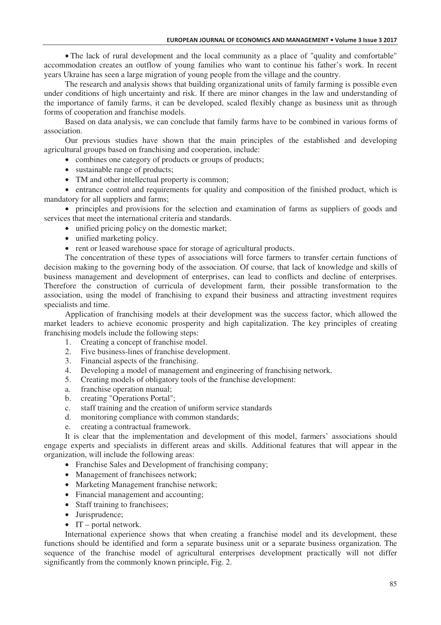• The lack of rural development and the local community as a place of "quality and comfortable" accommodation creates an outflow of young families who want to continue his father's work. In recent years Ukraine has seen a large migration of young people from the village and the country.

The research and analysis shows that building organizational units of family farming is possible even under conditions of high uncertainty and risk. If there are minor changes in the law and understanding of the importance of family farms, it can be developed, scaled flexibly change as business unit as through forms of cooperation and franchise models.

Based on data analysis, we can conclude that family farms have to be combined in various forms of association.

Our previous studies have shown that the main principles of the established and developing agricultural groups based on franchising and cooperation, include:

• combines one category of products or groups of products;

- sustainable range of products;
- TM and other intellectual property is common;

• entrance control and requirements for quality and composition of the finished product, which is mandatory for all suppliers and farms;

• principles and provisions for the selection and examination of farms as suppliers of goods and services that meet the international criteria and standards.

• unified pricing policy on the domestic market;

- unified marketing policy.
- rent or leased warehouse space for storage of agricultural products.

The concentration of these types of associations will force farmers to transfer certain functions of decision making to the governing body of the association. Of course, that lack of knowledge and skills of business management and development of enterprises, can lead to conflicts and decline of enterprises. Therefore the construction of curricula of development farm, their possible transformation to the association, using the model of franchising to expand their business and attracting investment requires specialists and time.

Application of franchising models at their development was the success factor, which allowed the market leaders to achieve economic prosperity and high capitalization. The key principles of creating franchising models include the following steps:

- 1. Creating a concept of franchise model.
- 2. Five business-lines of franchise development.
- 3. Financial aspects of the franchising.<br>4. Developing a model of management
- Developing a model of management and engineering of franchising network.
- 5. Creating models of obligatory tools of the franchise development:
- a. franchise operation manual;
- b. creating "Operations Portal";
- c. staff training and the creation of uniform service standards
- d. monitoring compliance with common standards;
- e. creating a contractual framework.

It is clear that the implementation and development of this model, farmers' associations should engage experts and specialists in different areas and skills. Additional features that will appear in the organization, will include the following areas:

- Franchise Sales and Development of franchising company;
- Management of franchisees network;
- Marketing Management franchise network;
- Financial management and accounting;
- Staff training to franchisees;
- Jurisprudence;
- IT portal network.

International experience shows that when creating a franchise model and its development, these functions should be identified and form a separate business unit or a separate business organization. The sequence of the franchise model of agricultural enterprises development practically will not differ significantly from the commonly known principle, Fig. 2.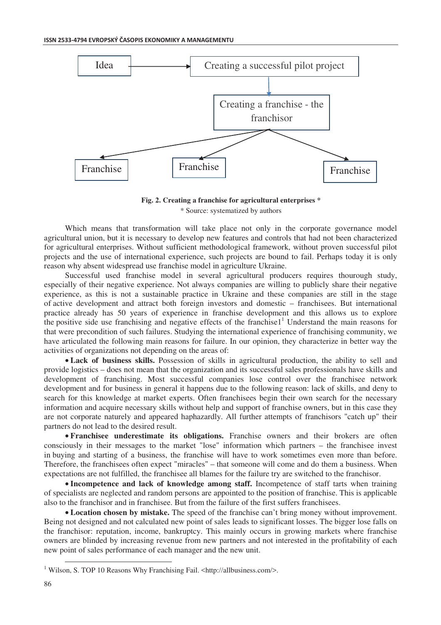

**Fig. 2. Creating a franchise for agricultural enterprises \***  \* Source: systematized by authors

Which means that transformation will take place not only in the corporate governance model agricultural union, but it is necessary to develop new features and controls that had not been characterized for agricultural enterprises. Without sufficient methodological framework, without proven successful pilot projects and the use of international experience, such projects are bound to fail. Perhaps today it is only reason why absent widespread use franchise model in agriculture Ukraine.

Successful used franchise model in several agricultural producers requires thourough study, especially of their negative experience. Not always companies are willing to publicly share their negative experience, as this is not a sustainable practice in Ukraine and these companies are still in the stage of active development and attract both foreign investors and domestic – franchisees. But international practice already has 50 years of experience in franchise development and this allows us to explore the positive side use franchising and negative effects of the franchise $1<sup>1</sup>$  Understand the main reasons for that were precondition of such failures. Studying the international experience of franchising community, we have articulated the following main reasons for failure. In our opinion, they characterize in better way the activities of organizations not depending on the areas of:

• **Lack of business skills.** Possession of skills in agricultural production, the ability to sell and provide logistics – does not mean that the organization and its successful sales professionals have skills and development of franchising. Most successful companies lose control over the franchisee network development and for business in general it happens due to the following reason: lack of skills, and deny to search for this knowledge at market experts. Often franchisees begin their own search for the necessary information and acquire necessary skills without help and support of franchise owners, but in this case they are not corporate naturely and appeared haphazardly. All further attempts of franchisors "catch up" their partners do not lead to the desired result.

• **Franchisee underestimate its obligations.** Franchise owners and their brokers are often consciously in their messages to the market "lose" information which partners – the franchisee invest in buying and starting of a business, the franchise will have to work sometimes even more than before. Therefore, the franchisees often expect "miracles" – that someone will come and do them a business. When expectations are not fulfilled, the franchisee all blames for the failure try are switched to the franchisor.

• **Incompetence and lack of knowledge among staff.** Incompetence of staff tarts when training of specialists are neglected and random persons are appointed to the position of franchise. This is applicable also to the franchisor and in franchisee. But from the failure of the first suffers franchisees.

• **Location chosen by mistake.** The speed of the franchise can't bring money without improvement. Being not designed and not calculated new point of sales leads to significant losses. The bigger lose falls on the franchisor: reputation, income, bankruptcy. This mainly occurs in growing markets where franchise owners are blinded by increasing revenue from new partners and not interested in the profitability of each new point of sales performance of each manager and the new unit.

 $\overline{a}$ 

<sup>&</sup>lt;sup>1</sup> Wilson, S. TOP 10 Reasons Why Franchising Fail. <http://allbusiness.com/>.